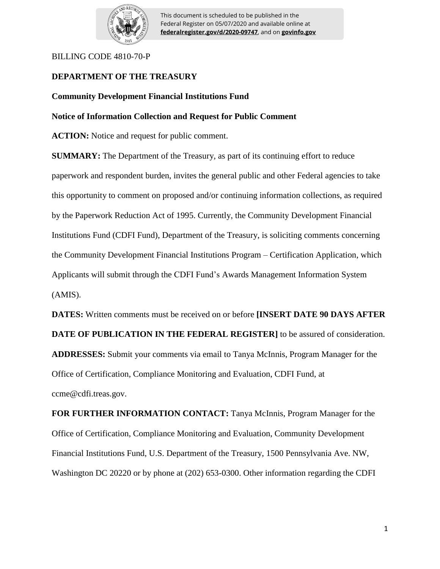

This document is scheduled to be published in the Federal Register on 05/07/2020 and available online at **federalregister.gov/d/2020-09747**, and on **govinfo.gov**

### BILLING CODE 4810-70-P

# **DEPARTMENT OF THE TREASURY**

# **Community Development Financial Institutions Fund**

# **Notice of Information Collection and Request for Public Comment**

**ACTION:** Notice and request for public comment.

**SUMMARY:** The Department of the Treasury, as part of its continuing effort to reduce paperwork and respondent burden, invites the general public and other Federal agencies to take this opportunity to comment on proposed and/or continuing information collections, as required by the Paperwork Reduction Act of 1995. Currently, the Community Development Financial Institutions Fund (CDFI Fund), Department of the Treasury, is soliciting comments concerning the Community Development Financial Institutions Program – Certification Application, which Applicants will submit through the CDFI Fund's Awards Management Information System (AMIS).

**DATES:** Written comments must be received on or before **[INSERT DATE 90 DAYS AFTER DATE OF PUBLICATION IN THE FEDERAL REGISTER]** to be assured of consideration. **ADDRESSES:** Submit your comments via email to Tanya McInnis, Program Manager for the Office of Certification, Compliance Monitoring and Evaluation, CDFI Fund, at ccme@cdfi.treas.gov.

**FOR FURTHER INFORMATION CONTACT:** Tanya McInnis, Program Manager for the Office of Certification, Compliance Monitoring and Evaluation, Community Development Financial Institutions Fund, U.S. Department of the Treasury, 1500 Pennsylvania Ave. NW, Washington DC 20220 or by phone at (202) 653-0300. Other information regarding the CDFI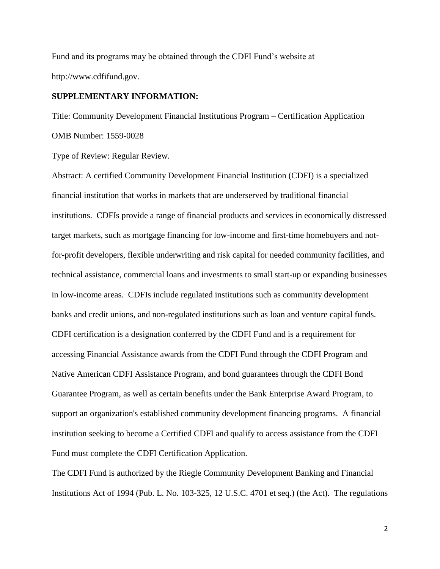Fund and its programs may be obtained through the CDFI Fund's website at http://www.cdfifund.gov.

# **SUPPLEMENTARY INFORMATION:**

Title: Community Development Financial Institutions Program – Certification Application OMB Number: 1559-0028

Type of Review: Regular Review.

Abstract: A certified Community Development Financial Institution (CDFI) is a specialized financial institution that works in markets that are underserved by traditional financial institutions. CDFIs provide a range of financial products and services in economically distressed target markets, such as mortgage financing for low-income and first-time homebuyers and notfor-profit developers, flexible underwriting and risk capital for needed community facilities, and technical assistance, commercial loans and investments to small start-up or expanding businesses in low-income areas. CDFIs include regulated institutions such as community development banks and credit unions, and non-regulated institutions such as loan and venture capital funds. CDFI certification is a designation conferred by the CDFI Fund and is a requirement for accessing Financial Assistance awards from the CDFI Fund through the CDFI Program and Native American CDFI Assistance Program, and bond guarantees through the CDFI Bond Guarantee Program, as well as certain benefits under the Bank Enterprise Award Program, to support an organization's established community development financing programs. A financial institution seeking to become a Certified CDFI and qualify to access assistance from the CDFI Fund must complete the CDFI Certification Application.

The CDFI Fund is authorized by the Riegle Community Development Banking and Financial Institutions Act of 1994 (Pub. L. No. 103-325, 12 U.S.C. 4701 et seq.) (the Act). The regulations

2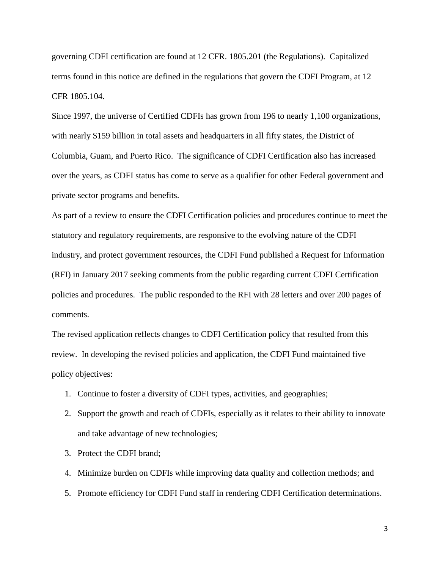governing CDFI certification are found at 12 CFR. 1805.201 (the Regulations). Capitalized terms found in this notice are defined in the regulations that govern the CDFI Program, at 12 CFR 1805.104.

Since 1997, the universe of Certified CDFIs has grown from 196 to nearly 1,100 organizations, with nearly \$159 billion in total assets and headquarters in all fifty states, the District of Columbia, Guam, and Puerto Rico. The significance of CDFI Certification also has increased over the years, as CDFI status has come to serve as a qualifier for other Federal government and private sector programs and benefits.

As part of a review to ensure the CDFI Certification policies and procedures continue to meet the statutory and regulatory requirements, are responsive to the evolving nature of the CDFI industry, and protect government resources, the CDFI Fund published a Request for Information (RFI) in January 2017 seeking comments from the public regarding current CDFI Certification policies and procedures. The public responded to the RFI with 28 letters and over 200 pages of comments.

The revised application reflects changes to CDFI Certification policy that resulted from this review. In developing the revised policies and application, the CDFI Fund maintained five policy objectives:

- 1. Continue to foster a diversity of CDFI types, activities, and geographies;
- 2. Support the growth and reach of CDFIs, especially as it relates to their ability to innovate and take advantage of new technologies;
- 3. Protect the CDFI brand;
- 4. Minimize burden on CDFIs while improving data quality and collection methods; and
- 5. Promote efficiency for CDFI Fund staff in rendering CDFI Certification determinations.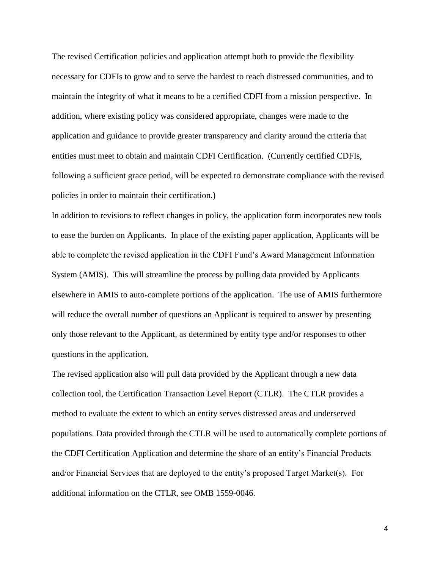The revised Certification policies and application attempt both to provide the flexibility necessary for CDFIs to grow and to serve the hardest to reach distressed communities, and to maintain the integrity of what it means to be a certified CDFI from a mission perspective. In addition, where existing policy was considered appropriate, changes were made to the application and guidance to provide greater transparency and clarity around the criteria that entities must meet to obtain and maintain CDFI Certification. (Currently certified CDFIs, following a sufficient grace period, will be expected to demonstrate compliance with the revised policies in order to maintain their certification.)

In addition to revisions to reflect changes in policy, the application form incorporates new tools to ease the burden on Applicants. In place of the existing paper application, Applicants will be able to complete the revised application in the CDFI Fund's Award Management Information System (AMIS). This will streamline the process by pulling data provided by Applicants elsewhere in AMIS to auto-complete portions of the application. The use of AMIS furthermore will reduce the overall number of questions an Applicant is required to answer by presenting only those relevant to the Applicant, as determined by entity type and/or responses to other questions in the application.

The revised application also will pull data provided by the Applicant through a new data collection tool, the Certification Transaction Level Report (CTLR). The CTLR provides a method to evaluate the extent to which an entity serves distressed areas and underserved populations. Data provided through the CTLR will be used to automatically complete portions of the CDFI Certification Application and determine the share of an entity's Financial Products and/or Financial Services that are deployed to the entity's proposed Target Market(s). For additional information on the CTLR, see OMB 1559-0046.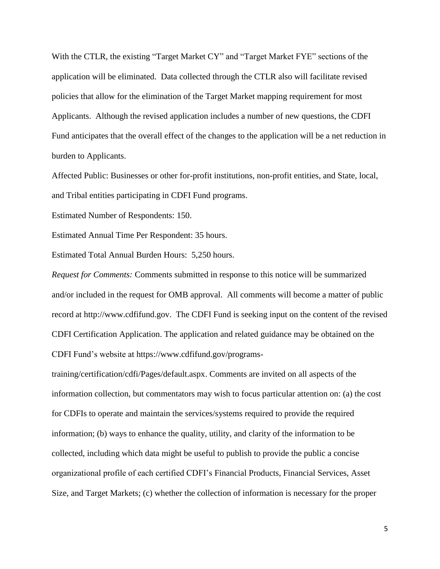With the CTLR, the existing "Target Market CY" and "Target Market FYE" sections of the application will be eliminated. Data collected through the CTLR also will facilitate revised policies that allow for the elimination of the Target Market mapping requirement for most Applicants. Although the revised application includes a number of new questions, the CDFI Fund anticipates that the overall effect of the changes to the application will be a net reduction in burden to Applicants.

Affected Public: Businesses or other for-profit institutions, non-profit entities, and State, local, and Tribal entities participating in CDFI Fund programs.

Estimated Number of Respondents: 150.

Estimated Annual Time Per Respondent: 35 hours.

Estimated Total Annual Burden Hours: 5,250 hours.

*Request for Comments:* Comments submitted in response to this notice will be summarized and/or included in the request for OMB approval. All comments will become a matter of public record at http://www.cdfifund.gov. The CDFI Fund is seeking input on the content of the revised CDFI Certification Application. The application and related guidance may be obtained on the CDFI Fund's website at https://www.cdfifund.gov/programs-

training/certification/cdfi/Pages/default.aspx. Comments are invited on all aspects of the information collection, but commentators may wish to focus particular attention on: (a) the cost for CDFIs to operate and maintain the services/systems required to provide the required information; (b) ways to enhance the quality, utility, and clarity of the information to be collected, including which data might be useful to publish to provide the public a concise organizational profile of each certified CDFI's Financial Products, Financial Services, Asset Size, and Target Markets; (c) whether the collection of information is necessary for the proper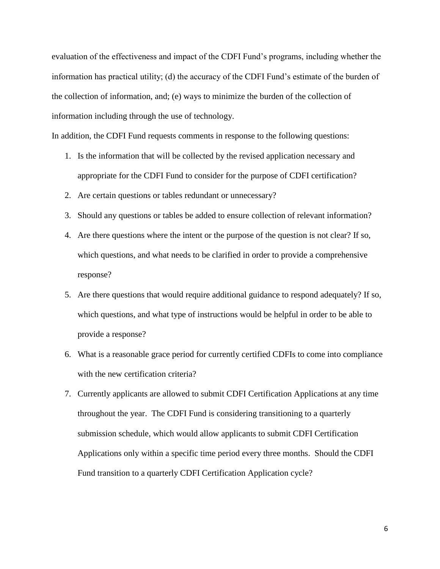evaluation of the effectiveness and impact of the CDFI Fund's programs, including whether the information has practical utility; (d) the accuracy of the CDFI Fund's estimate of the burden of the collection of information, and; (e) ways to minimize the burden of the collection of information including through the use of technology.

In addition, the CDFI Fund requests comments in response to the following questions:

- 1. Is the information that will be collected by the revised application necessary and appropriate for the CDFI Fund to consider for the purpose of CDFI certification?
- 2. Are certain questions or tables redundant or unnecessary?
- 3. Should any questions or tables be added to ensure collection of relevant information?
- 4. Are there questions where the intent or the purpose of the question is not clear? If so, which questions, and what needs to be clarified in order to provide a comprehensive response?
- 5. Are there questions that would require additional guidance to respond adequately? If so, which questions, and what type of instructions would be helpful in order to be able to provide a response?
- 6. What is a reasonable grace period for currently certified CDFIs to come into compliance with the new certification criteria?
- 7. Currently applicants are allowed to submit CDFI Certification Applications at any time throughout the year. The CDFI Fund is considering transitioning to a quarterly submission schedule, which would allow applicants to submit CDFI Certification Applications only within a specific time period every three months. Should the CDFI Fund transition to a quarterly CDFI Certification Application cycle?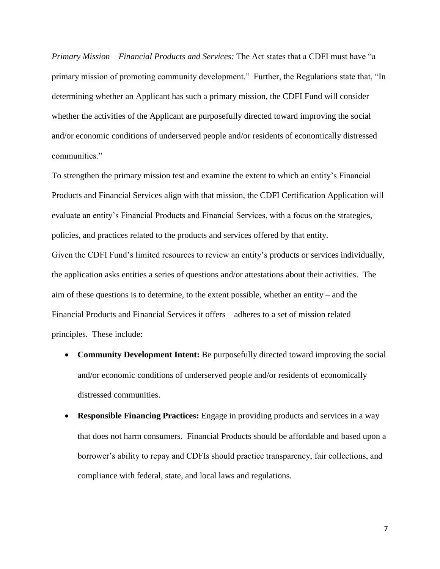*Primary Mission – Financial Products and Services:* The Act states that a CDFI must have "a primary mission of promoting community development." Further, the Regulations state that, "In determining whether an Applicant has such a primary mission, the CDFI Fund will consider whether the activities of the Applicant are purposefully directed toward improving the social and/or economic conditions of underserved people and/or residents of economically distressed communities."

To strengthen the primary mission test and examine the extent to which an entity's Financial Products and Financial Services align with that mission, the CDFI Certification Application will evaluate an entity's Financial Products and Financial Services, with a focus on the strategies, policies, and practices related to the products and services offered by that entity. Given the CDFI Fund's limited resources to review an entity's products or services individually, the application asks entities a series of questions and/or attestations about their activities. The aim of these questions is to determine, to the extent possible, whether an entity – and the Financial Products and Financial Services it offers – adheres to a set of mission related principles. These include:

- **Community Development Intent:** Be purposefully directed toward improving the social and/or economic conditions of underserved people and/or residents of economically distressed communities.
- **Responsible Financing Practices:** Engage in providing products and services in a way that does not harm consumers. Financial Products should be affordable and based upon a borrower's ability to repay and CDFIs should practice transparency, fair collections, and compliance with federal, state, and local laws and regulations.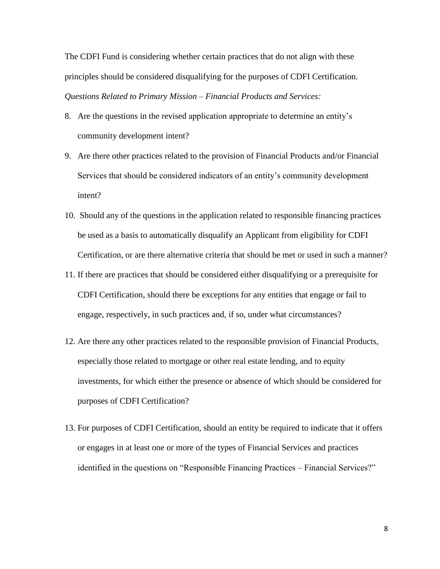The CDFI Fund is considering whether certain practices that do not align with these principles should be considered disqualifying for the purposes of CDFI Certification. *Questions Related to Primary Mission – Financial Products and Services:*

- 8. Are the questions in the revised application appropriate to determine an entity's community development intent?
- 9. Are there other practices related to the provision of Financial Products and/or Financial Services that should be considered indicators of an entity's community development intent?
- 10. Should any of the questions in the application related to responsible financing practices be used as a basis to automatically disqualify an Applicant from eligibility for CDFI Certification, or are there alternative criteria that should be met or used in such a manner?
- 11. If there are practices that should be considered either disqualifying or a prerequisite for CDFI Certification, should there be exceptions for any entities that engage or fail to engage, respectively, in such practices and, if so, under what circumstances?
- 12. Are there any other practices related to the responsible provision of Financial Products, especially those related to mortgage or other real estate lending, and to equity investments, for which either the presence or absence of which should be considered for purposes of CDFI Certification?
- 13. For purposes of CDFI Certification, should an entity be required to indicate that it offers or engages in at least one or more of the types of Financial Services and practices identified in the questions on "Responsible Financing Practices – Financial Services?"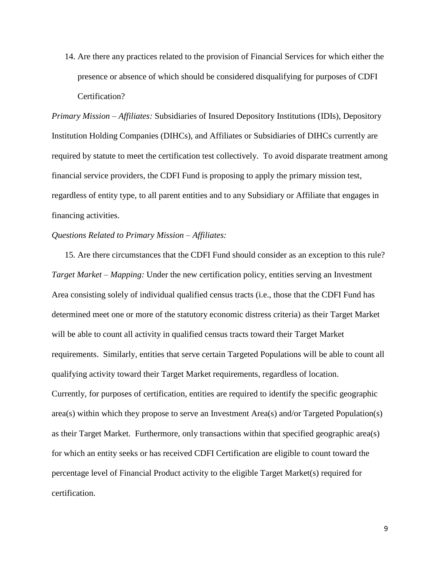14. Are there any practices related to the provision of Financial Services for which either the presence or absence of which should be considered disqualifying for purposes of CDFI Certification?

*Primary Mission – Affiliates:* Subsidiaries of Insured Depository Institutions (IDIs), Depository Institution Holding Companies (DIHCs), and Affiliates or Subsidiaries of DIHCs currently are required by statute to meet the certification test collectively. To avoid disparate treatment among financial service providers, the CDFI Fund is proposing to apply the primary mission test, regardless of entity type, to all parent entities and to any Subsidiary or Affiliate that engages in financing activities.

### *Questions Related to Primary Mission – Affiliates:*

15. Are there circumstances that the CDFI Fund should consider as an exception to this rule? *Target Market – Mapping:* Under the new certification policy, entities serving an Investment Area consisting solely of individual qualified census tracts (i.e., those that the CDFI Fund has determined meet one or more of the statutory economic distress criteria) as their Target Market will be able to count all activity in qualified census tracts toward their Target Market requirements. Similarly, entities that serve certain Targeted Populations will be able to count all qualifying activity toward their Target Market requirements, regardless of location. Currently, for purposes of certification, entities are required to identify the specific geographic area(s) within which they propose to serve an Investment Area(s) and/or Targeted Population(s) as their Target Market. Furthermore, only transactions within that specified geographic area(s) for which an entity seeks or has received CDFI Certification are eligible to count toward the percentage level of Financial Product activity to the eligible Target Market(s) required for certification.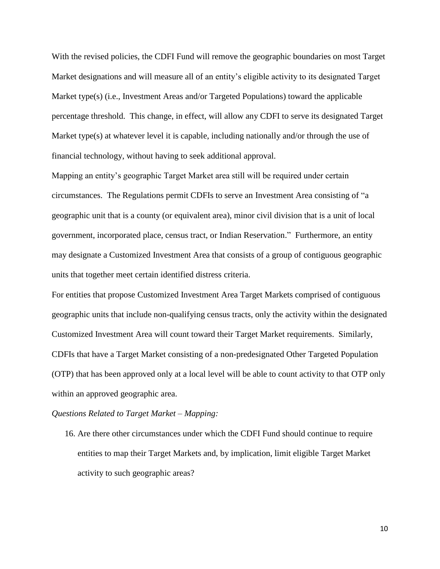With the revised policies, the CDFI Fund will remove the geographic boundaries on most Target Market designations and will measure all of an entity's eligible activity to its designated Target Market type(s) (i.e., Investment Areas and/or Targeted Populations) toward the applicable percentage threshold. This change, in effect, will allow any CDFI to serve its designated Target Market type(s) at whatever level it is capable, including nationally and/or through the use of financial technology, without having to seek additional approval.

Mapping an entity's geographic Target Market area still will be required under certain circumstances. The Regulations permit CDFIs to serve an Investment Area consisting of "a geographic unit that is a county (or equivalent area), minor civil division that is a unit of local government, incorporated place, census tract, or Indian Reservation." Furthermore, an entity may designate a Customized Investment Area that consists of a group of contiguous geographic units that together meet certain identified distress criteria.

For entities that propose Customized Investment Area Target Markets comprised of contiguous geographic units that include non-qualifying census tracts, only the activity within the designated Customized Investment Area will count toward their Target Market requirements. Similarly, CDFIs that have a Target Market consisting of a non-predesignated Other Targeted Population (OTP) that has been approved only at a local level will be able to count activity to that OTP only within an approved geographic area.

#### *Questions Related to Target Market – Mapping:*

16. Are there other circumstances under which the CDFI Fund should continue to require entities to map their Target Markets and, by implication, limit eligible Target Market activity to such geographic areas?

10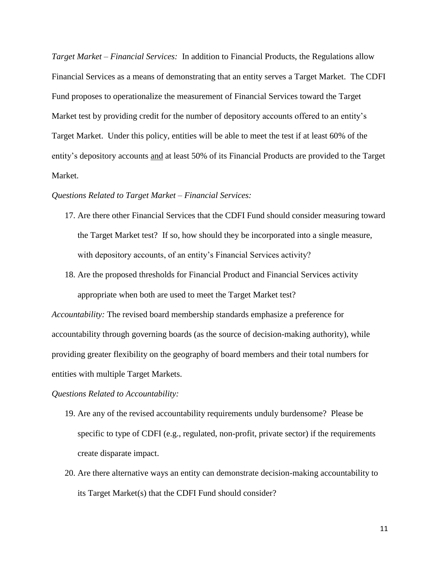*Target Market – Financial Services:* In addition to Financial Products, the Regulations allow Financial Services as a means of demonstrating that an entity serves a Target Market. The CDFI Fund proposes to operationalize the measurement of Financial Services toward the Target Market test by providing credit for the number of depository accounts offered to an entity's Target Market. Under this policy, entities will be able to meet the test if at least 60% of the entity's depository accounts and at least 50% of its Financial Products are provided to the Target Market.

#### *Questions Related to Target Market – Financial Services:*

- 17. Are there other Financial Services that the CDFI Fund should consider measuring toward the Target Market test? If so, how should they be incorporated into a single measure, with depository accounts, of an entity's Financial Services activity?
- 18. Are the proposed thresholds for Financial Product and Financial Services activity appropriate when both are used to meet the Target Market test?

*Accountability:* The revised board membership standards emphasize a preference for accountability through governing boards (as the source of decision-making authority), while providing greater flexibility on the geography of board members and their total numbers for entities with multiple Target Markets.

#### *Questions Related to Accountability:*

- 19. Are any of the revised accountability requirements unduly burdensome? Please be specific to type of CDFI (e.g., regulated, non-profit, private sector) if the requirements create disparate impact.
- 20. Are there alternative ways an entity can demonstrate decision-making accountability to its Target Market(s) that the CDFI Fund should consider?